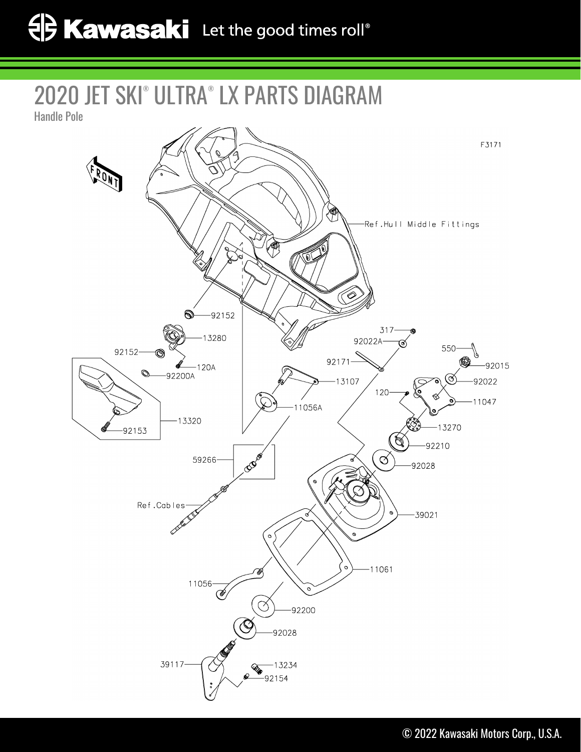2020 JET SKI® ULTRA® LX PARTS DIAGRAM